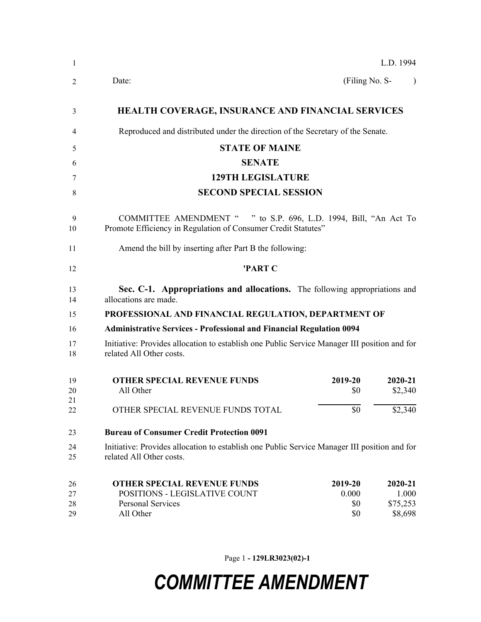| -1                   | L.D. 1994                                                                                                                                                                          |  |  |  |  |
|----------------------|------------------------------------------------------------------------------------------------------------------------------------------------------------------------------------|--|--|--|--|
| 2                    | (Filing No. S-<br>Date:                                                                                                                                                            |  |  |  |  |
| 3                    | <b>HEALTH COVERAGE, INSURANCE AND FINANCIAL SERVICES</b>                                                                                                                           |  |  |  |  |
| 4                    | Reproduced and distributed under the direction of the Secretary of the Senate.                                                                                                     |  |  |  |  |
| 5                    | <b>STATE OF MAINE</b>                                                                                                                                                              |  |  |  |  |
| 6                    | <b>SENATE</b>                                                                                                                                                                      |  |  |  |  |
| 7                    | <b>129TH LEGISLATURE</b>                                                                                                                                                           |  |  |  |  |
| 8                    | <b>SECOND SPECIAL SESSION</b>                                                                                                                                                      |  |  |  |  |
| 9<br>10              | COMMITTEE AMENDMENT " " to S.P. 696, L.D. 1994, Bill, "An Act To<br>Promote Efficiency in Regulation of Consumer Credit Statutes"                                                  |  |  |  |  |
| 11                   | Amend the bill by inserting after Part B the following:                                                                                                                            |  |  |  |  |
| 12                   | 'PART C                                                                                                                                                                            |  |  |  |  |
| 13<br>14             | Sec. C-1. Appropriations and allocations. The following appropriations and<br>allocations are made.                                                                                |  |  |  |  |
| 15                   | PROFESSIONAL AND FINANCIAL REGULATION, DEPARTMENT OF                                                                                                                               |  |  |  |  |
| 16                   | <b>Administrative Services - Professional and Financial Regulation 0094</b>                                                                                                        |  |  |  |  |
| 17<br>18             | Initiative: Provides allocation to establish one Public Service Manager III position and for<br>related All Other costs.                                                           |  |  |  |  |
| 19<br>20<br>21       | <b>OTHER SPECIAL REVENUE FUNDS</b><br>2019-20<br>2020-21<br>All Other<br>\$2,340<br>\$0                                                                                            |  |  |  |  |
| 22                   | \$0<br>\$2,340<br>OTHER SPECIAL REVENUE FUNDS TOTAL                                                                                                                                |  |  |  |  |
| 23                   | <b>Bureau of Consumer Credit Protection 0091</b>                                                                                                                                   |  |  |  |  |
| 24<br>25             | Initiative: Provides allocation to establish one Public Service Manager III position and for<br>related All Other costs.                                                           |  |  |  |  |
| 26<br>27<br>28<br>29 | <b>OTHER SPECIAL REVENUE FUNDS</b><br>2019-20<br>2020-21<br>POSITIONS - LEGISLATIVE COUNT<br>1.000<br>0.000<br>Personal Services<br>\$75,253<br>\$0<br>All Other<br>\$0<br>\$8,698 |  |  |  |  |

Page 1 **- 129LR3023(02)-1**

## *COMMITTEE AMENDMENT*